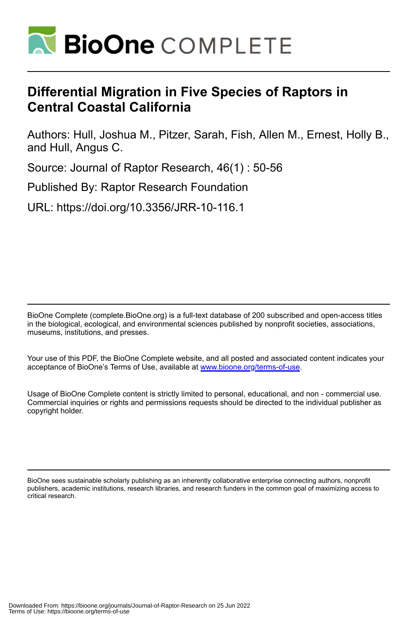

# **Differential Migration in Five Species of Raptors in Central Coastal California**

Authors: Hull, Joshua M., Pitzer, Sarah, Fish, Allen M., Ernest, Holly B., and Hull, Angus C.

Source: Journal of Raptor Research, 46(1) : 50-56

Published By: Raptor Research Foundation

URL: https://doi.org/10.3356/JRR-10-116.1

BioOne Complete (complete.BioOne.org) is a full-text database of 200 subscribed and open-access titles in the biological, ecological, and environmental sciences published by nonprofit societies, associations, museums, institutions, and presses.

Your use of this PDF, the BioOne Complete website, and all posted and associated content indicates your acceptance of BioOne's Terms of Use, available at www.bioone.org/terms-of-use.

Usage of BioOne Complete content is strictly limited to personal, educational, and non - commercial use. Commercial inquiries or rights and permissions requests should be directed to the individual publisher as copyright holder.

BioOne sees sustainable scholarly publishing as an inherently collaborative enterprise connecting authors, nonprofit publishers, academic institutions, research libraries, and research funders in the common goal of maximizing access to critical research.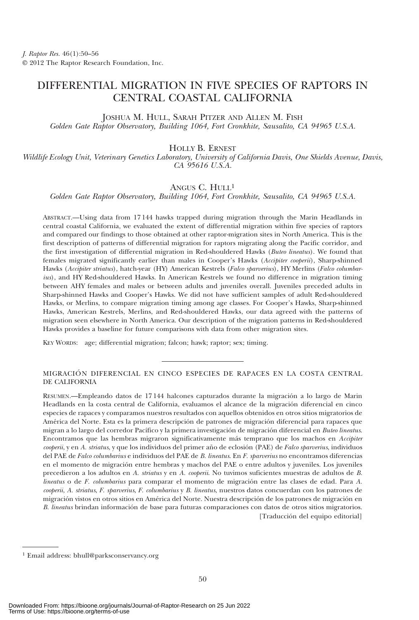## DIFFERENTIAL MIGRATION IN FIVE SPECIES OF RAPTORS IN CENTRAL COASTAL CALIFORNIA

### JOSHUA M. HULL, SARAH PITZER AND ALLEN M. FISH Golden Gate Raptor Observatory, Building 1064, Fort Cronkhite, Sausalito, CA 94965 U.S.A.

#### HOLLY B. ERNEST

Wildlife Ecology Unit, Veterinary Genetics Laboratory, University of California Davis, One Shields Avenue, Davis, CA 95616 U.S.A.

### ANGUS C. HULL1

Golden Gate Raptor Observatory, Building 1064, Fort Cronkhite, Sausalito, CA 94965 U.S.A.

ABSTRACT.—Using data from 17 144 hawks trapped during migration through the Marin Headlands in central coastal California, we evaluated the extent of differential migration within five species of raptors and compared our findings to those obtained at other raptor-migration sites in North America. This is the first description of patterns of differential migration for raptors migrating along the Pacific corridor, and the first investigation of differential migration in Red-shouldered Hawks (Buteo lineatus). We found that females migrated significantly earlier than males in Cooper's Hawks (Accipiter cooperii), Sharp-shinned Hawks (Accipiter striatus), hatch-year (HY) American Kestrels (Falco sparverius), HY Merlins (Falco columbarius), and HY Red-shouldered Hawks. In American Kestrels we found no difference in migration timing between AHY females and males or between adults and juveniles overall. Juveniles preceded adults in Sharp-shinned Hawks and Cooper's Hawks. We did not have sufficient samples of adult Red-shouldered Hawks, or Merlins, to compare migration timing among age classes. For Cooper's Hawks, Sharp-shinned Hawks, American Kestrels, Merlins, and Red-shouldered Hawks, our data agreed with the patterns of migration seen elsewhere in North America. Our description of the migration patterns in Red-shouldered Hawks provides a baseline for future comparisons with data from other migration sites.

KEY WORDS: age; differential migration; falcon; hawk; raptor; sex; timing.

#### MIGRACIO´ N DIFERENCIAL EN CINCO ESPECIES DE RAPACES EN LA COSTA CENTRAL DE CALIFORNIA

RESUMEN.—Empleando datos de 17144 halcones capturados durante la migración a lo largo de Marin Headlands en la costa central de California, evaluamos el alcance de la migración diferencial en cinco especies de rapaces y comparamos nuestros resultados con aquellos obtenidos en otros sitios migratorios de América del Norte. Esta es la primera descripción de patrones de migración diferencial para rapaces que migran a lo largo del corredor Pacífico y la primera investigación de migración diferencial en Buteo lineatus. Encontramos que las hembras migraron significativamente más temprano que los machos en Accipiter cooperii, y en A. striatus, y que los individuos del primer año de eclosión (PAE) de Falco sparverius, individuos del PAE de Falco columbarius e individuos del PAE de B. lineatus. En F. sparverius no encontramos diferencias en el momento de migración entre hembras y machos del PAE o entre adultos y juveniles. Los juveniles precedieron a los adultos en A. striatus y en A. cooperii. No tuvimos suficientes muestras de adultos de B. lineatus o de F. columbarius para comparar el momento de migración entre las clases de edad. Para A. cooperii, A. striatus, F. sparverius, F. columbarius y B. lineatus, nuestros datos concuerdan con los patrones de migración vistos en otros sitios en América del Norte. Nuestra descripción de los patrones de migración en B. lineatus brindan información de base para futuras comparaciones con datos de otros sitios migratorios. [Traducción del equipo editorial]

<sup>1</sup> Email address: bhull@parksconservancy.org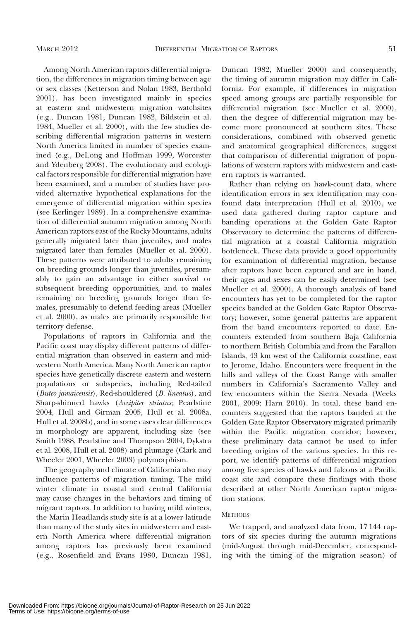Among North American raptors differential migration, the differences in migration timing between age or sex classes (Ketterson and Nolan 1983, Berthold 2001), has been investigated mainly in species at eastern and midwestern migration watchsites (e.g., Duncan 1981, Duncan 1982, Bildstein et al. 1984, Mueller et al. 2000), with the few studies describing differential migration patterns in western North America limited in number of species examined (e.g., DeLong and Hoffman 1999, Worcester and Ydenberg 2008). The evolutionary and ecological factors responsible for differential migration have been examined, and a number of studies have provided alternative hypothetical explanations for the emergence of differential migration within species (see Kerlinger 1989). In a comprehensive examination of differential autumn migration among North American raptors east of the Rocky Mountains, adults generally migrated later than juveniles, and males migrated later than females (Mueller et al. 2000). These patterns were attributed to adults remaining on breeding grounds longer than juveniles, presumably to gain an advantage in either survival or subsequent breeding opportunities, and to males remaining on breeding grounds longer than females, presumably to defend feeding areas (Mueller et al. 2000), as males are primarily responsible for territory defense.

Populations of raptors in California and the Pacific coast may display different patterns of differential migration than observed in eastern and midwestern North America. Many North American raptor species have genetically discrete eastern and western populations or subspecies, including Red-tailed (Buteo jamaicensis), Red-shouldered (B. lineatus), and Sharp-shinned hawks (Accipiter striatus; Pearlstine 2004, Hull and Girman 2005, Hull et al. 2008a, Hull et al. 2008b), and in some cases clear differences in morphology are apparent, including size (see Smith 1988, Pearlstine and Thompson 2004, Dykstra et al. 2008, Hull et al. 2008) and plumage (Clark and Wheeler 2001, Wheeler 2003) polymorphism.

The geography and climate of California also may influence patterns of migration timing. The mild winter climate in coastal and central California may cause changes in the behaviors and timing of migrant raptors. In addition to having mild winters, the Marin Headlands study site is at a lower latitude than many of the study sites in midwestern and eastern North America where differential migration among raptors has previously been examined (e.g., Rosenfield and Evans 1980, Duncan 1981, Duncan 1982, Mueller 2000) and consequently, the timing of autumn migration may differ in California. For example, if differences in migration speed among groups are partially responsible for differential migration (see Mueller et al. 2000), then the degree of differential migration may become more pronounced at southern sites. These considerations, combined with observed genetic and anatomical geographical differences, suggest that comparison of differential migration of populations of western raptors with midwestern and eastern raptors is warranted.

Rather than relying on hawk-count data, where identification errors in sex identification may confound data interpretation (Hull et al. 2010), we used data gathered during raptor capture and banding operations at the Golden Gate Raptor Observatory to determine the patterns of differential migration at a coastal California migration bottleneck. These data provide a good opportunity for examination of differential migration, because after raptors have been captured and are in hand, their ages and sexes can be easily determined (see Mueller et al. 2000). A thorough analysis of band encounters has yet to be completed for the raptor species banded at the Golden Gate Raptor Observatory; however, some general patterns are apparent from the band encounters reported to date. Encounters extended from southern Baja California to northern British Columbia and from the Farallon Islands, 43 km west of the California coastline, east to Jerome, Idaho. Encounters were frequent in the hills and valleys of the Coast Range with smaller numbers in California's Sacramento Valley and few encounters within the Sierra Nevada (Weeks 2001, 2009; Harn 2010). In total, these band encounters suggested that the raptors banded at the Golden Gate Raptor Observatory migrated primarily within the Pacific migration corridor; however, these preliminary data cannot be used to infer breeding origins of the various species. In this report, we identify patterns of differential migration among five species of hawks and falcons at a Pacific coast site and compare these findings with those described at other North American raptor migration stations.

#### **METHODS**

We trapped, and analyzed data from, 17 144 raptors of six species during the autumn migrations (mid-August through mid-December, corresponding with the timing of the migration season) of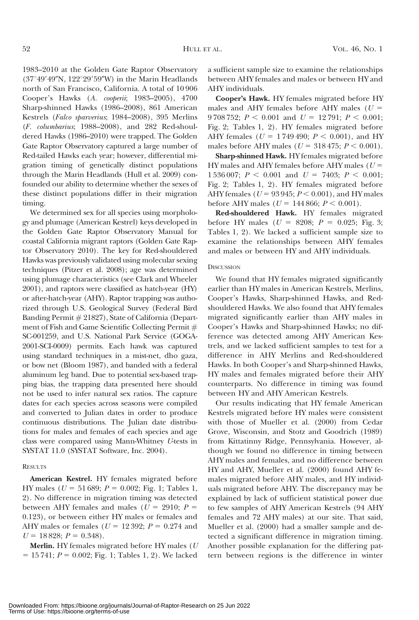1983–2010 at the Golden Gate Raptor Observatory  $(37°49'49'N, 122°29'59''W)$  in the Marin Headlands north of San Francisco, California. A total of 10 906 Cooper's Hawks (A. cooperii; 1983–2005), 4700 Sharp-shinned Hawks (1986–2008), 861 American Kestrels (Falco sparverius; 1984–2008), 395 Merlins (F. columbarius; 1988–2008), and 282 Red-shouldered Hawks (1986–2010) were trapped. The Golden Gate Raptor Observatory captured a large number of Red-tailed Hawks each year; however, differential migration timing of genetically distinct populations through the Marin Headlands (Hull et al. 2009) confounded our ability to determine whether the sexes of these distinct populations differ in their migration timing.

We determined sex for all species using morphology and plumage (American Kestrel) keys developed in the Golden Gate Raptor Observatory Manual for coastal California migrant raptors (Golden Gate Raptor Observatory 2010). The key for Red-shouldered Hawks was previously validated using molecular sexing techniques (Pitzer et al. 2008); age was determined using plumage characteristics (see Clark and Wheeler 2001), and raptors were classified as hatch-year (HY) or after-hatch-year (AHY). Raptor trapping was authorized through U.S. Geological Survey (Federal Bird Banding Permit  $# 21827$ ), State of California (Department of Fish and Game Scientific Collecting Permit  $#$ SC-001259, and U.S. National Park Service (GOGA-2001-SCI-0009) permits. Each hawk was captured using standard techniques in a mist-net, dho gaza, or bow net (Bloom 1987), and banded with a federal aluminum leg band. Due to potential sex-based trapping bias, the trapping data presented here should not be used to infer natural sex ratios. The capture dates for each species across seasons were compiled and converted to Julian dates in order to produce continuous distributions. The Julian date distributions for males and females of each species and age class were compared using Mann-Whitney U-tests in SYSTAT 11.0 (SYSTAT Software, Inc. 2004).

#### **RESULTS**

American Kestrel. HY females migrated before HY males  $(U = 51 689; P = 0.002; Fig. 1; Tables 1,$ 2). No difference in migration timing was detected between AHY females and males ( $U = 2910$ ;  $P =$ 0.123), or between either HY males or females and AHY males or females ( $U = 12392$ ;  $P = 0.274$  and  $U = 18828; P = 0.348$ .

Merlin. HY females migrated before HY males (U  $= 15 741$ ;  $P = 0.002$ ; Fig. 1; Tables 1, 2). We lacked

a sufficient sample size to examine the relationships between AHY females and males or between HY and AHY individuals.

Cooper's Hawk. HY females migrated before HY males and AHY females before AHY males ( $U =$ 9 708 752;  $P < 0.001$  and  $U = 12791$ ;  $P < 0.001$ ; Fig. 2; Tables 1, 2). HY females migrated before AHY females ( $U = 1749490$ ;  $P < 0.001$ ), and HY males before AHY males ( $U = 318\,475$ ;  $P < 0.001$ ).

Sharp-shinned Hawk. HY females migrated before HY males and AHY females before AHY males ( $U =$ 1 536 007;  $P < 0.001$  and  $U = 7403$ ;  $P < 0.001$ ; Fig. 2; Tables 1, 2). HY females migrated before AHY females ( $U = 93945$ ;  $P < 0.001$ ), and HY males before AHY males ( $U = 144\,866$ ;  $P < 0.001$ ).

Red-shouldered Hawk. HY females migrated before HY males ( $U = 8208$ ;  $P = 0.025$ ; Fig. 3; Tables 1, 2). We lacked a sufficient sample size to examine the relationships between AHY females and males or between HY and AHY individuals.

### **DISCUSSION**

We found that HY females migrated significantly earlier than HY males in American Kestrels, Merlins, Cooper's Hawks, Sharp-shinned Hawks, and Redshouldered Hawks. We also found that AHY females migrated significantly earlier than AHY males in Cooper's Hawks and Sharp-shinned Hawks; no difference was detected among AHY American Kestrels, and we lacked sufficient samples to test for a difference in AHY Merlins and Red-shouldered Hawks. In both Cooper's and Sharp-shinned Hawks, HY males and females migrated before their AHY counterparts. No difference in timing was found between HY and AHY American Kestrels.

Our results indicating that HY female American Kestrels migrated before HY males were consistent with those of Mueller et al. (2000) from Cedar Grove, Wisconsin, and Stotz and Goodrich (1989) from Kittatinny Ridge, Pennsylvania. However, although we found no difference in timing between AHY males and females, and no difference between HY and AHY, Mueller et al. (2000) found AHY females migrated before AHY males, and HY individuals migrated before AHY. The discrepancy may be explained by lack of sufficient statistical power due to few samples of AHY American Kestrels (94 AHY females and 72 AHY males) at our site. That said, Mueller et al. (2000) had a smaller sample and detected a significant difference in migration timing. Another possible explanation for the differing pattern between regions is the difference in winter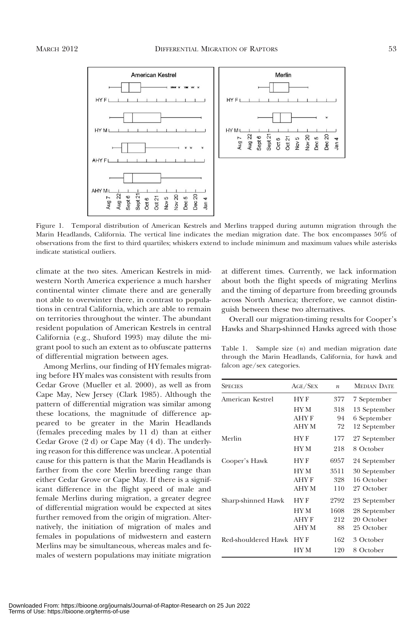

Figure 1. Temporal distribution of American Kestrels and Merlins trapped during autumn migration through the Marin Headlands, California. The vertical line indicates the median migration date. The box encompasses 50% of observations from the first to third quartiles; whiskers extend to include minimum and maximum values while asterisks indicate statistical outliers.

climate at the two sites. American Kestrels in midwestern North America experience a much harsher continental winter climate there and are generally not able to overwinter there, in contrast to populations in central California, which are able to remain on territories throughout the winter. The abundant resident population of American Kestrels in central California (e.g., Shuford 1993) may dilute the migrant pool to such an extent as to obfuscate patterns of differential migration between ages.

Among Merlins, our finding of HY females migrating before HY males was consistent with results from Cedar Grove (Mueller et al. 2000), as well as from Cape May, New Jersey (Clark 1985). Although the pattern of differential migration was similar among these locations, the magnitude of difference appeared to be greater in the Marin Headlands (females preceding males by 11 d) than at either Cedar Grove (2 d) or Cape May (4 d). The underlying reason for this difference was unclear. A potential cause for this pattern is that the Marin Headlands is farther from the core Merlin breeding range than either Cedar Grove or Cape May. If there is a significant difference in the flight speed of male and female Merlins during migration, a greater degree of differential migration would be expected at sites further removed from the origin of migration. Alternatively, the initiation of migration of males and females in populations of midwestern and eastern Merlins may be simultaneous, whereas males and females of western populations may initiate migration at different times. Currently, we lack information about both the flight speeds of migrating Merlins and the timing of departure from breeding grounds across North America; therefore, we cannot distinguish between these two alternatives.

Overall our migration-timing results for Cooper's Hawks and Sharp-shinned Hawks agreed with those

Table 1. Sample size  $(n)$  and median migration date through the Marin Headlands, California, for hawk and falcon age/sex categories.

| <b>SPECIES</b>      | AGE/SEX     | $\boldsymbol{n}$ | <b>MEDIAN DATE</b> |
|---------------------|-------------|------------------|--------------------|
| American Kestrel    | <b>HYF</b>  | 377              | 7 September        |
|                     | HY M        | 318              | 13 September       |
|                     | <b>AHYF</b> | 94               | 6 September        |
|                     | <b>AHYM</b> | 72               | 12 September       |
| Merlin              | <b>HYF</b>  | 177              | 27 September       |
|                     | HY M        | 218              | 8 October          |
| Cooper's Hawk       | HY F        | 6957             | 24 September       |
|                     | HY M        | 3511             | 30 September       |
|                     | <b>AHYF</b> | 328              | 16 October         |
|                     | <b>AHYM</b> | 110              | 27 October         |
| Sharp-shinned Hawk  | HY F        | 2792             | 23 September       |
|                     | HY M        | 1608             | 28 September       |
|                     | <b>AHYF</b> | 212              | 20 October         |
|                     | <b>AHYM</b> | 88               | 25 October         |
| Red-shouldered Hawk | HY F        | 162              | 3 October          |
|                     | HY M        | 120              | 8 October          |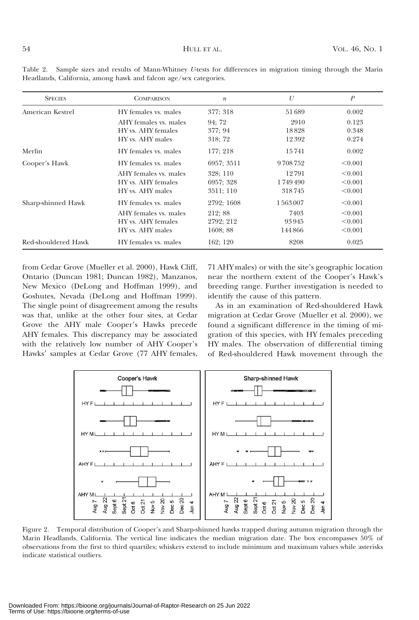| <b>SPECIES</b>      | <b>COMPARISON</b>     | $\boldsymbol{n}$ | U       | $\boldsymbol{P}$ |
|---------------------|-----------------------|------------------|---------|------------------|
| American Kestrel    | HY females vs. males  | 377: 318         | 51689   | 0.002            |
|                     | AHY females vs. males | 94: 72           | 2910    | 0.123            |
|                     | HY vs. AHY females    | 377: 94          | 18828   | 0.348            |
|                     | HY vs. AHY males      | 318:72           | 12392   | 0.274            |
| Merlin              | HY females vs. males  | 177: 218         | 15741   | 0.002            |
| Cooper's Hawk       | HY females vs. males  | 6957; 3511       | 9708752 | < 0.001          |
|                     | AHY females vs. males | 328; 110         | 12791   | < 0.001          |
|                     | HY vs. AHY females    | 6957: 328        | 1749490 | < 0.001          |
|                     | HY vs. AHY males      | 3511; 110        | 318745  | < 0.001          |
| Sharp-shinned Hawk  | HY females vs. males  | 2792; 1608       | 1563007 | < 0.001          |
|                     | AHY females vs. males | 212:88           | 7403    | < 0.001          |
|                     | HY vs. AHY females    | 2792: 212        | 93945   | < 0.001          |
|                     | HY vs. AHY males      | 1608; 88         | 144 866 | < 0.001          |
| Red-shouldered Hawk | HY females vs. males  | 162: 120         | 8208    | 0.025            |

Table 2. Sample sizes and results of Mann-Whitney U-tests for differences in migration timing through the Marin Headlands, California, among hawk and falcon age/sex categories.

from Cedar Grove (Mueller et al. 2000), Hawk Cliff, Ontario (Duncan 1981; Duncan 1982), Manzanos, New Mexico (DeLong and Hoffman 1999), and Goshutes, Nevada (DeLong and Hoffman 1999). The single point of disagreement among the results was that, unlike at the other four sites, at Cedar Grove the AHY male Cooper's Hawks precede AHY females. This discrepancy may be associated with the relatively low number of AHY Cooper's Hawks' samples at Cedar Grove (77 AHY females,

71 AHY males) or with the site's geographic location near the northern extent of the Cooper's Hawk's breeding range. Further investigation is needed to identify the cause of this pattern.

As in an examination of Red-shouldered Hawk migration at Cedar Grove (Mueller et al. 2000), we found a significant difference in the timing of migration of this species, with HY females preceding HY males. The observation of differential timing of Red-shouldered Hawk movement through the



Figure 2. Temporal distribution of Cooper's and Sharp-shinned hawks trapped during autumn migration through the Marin Headlands, California. The vertical line indicates the median migration date. The box encompasses 50% of observations from the first to third quartiles; whiskers extend to include minimum and maximum values while asterisks indicate statistical outliers.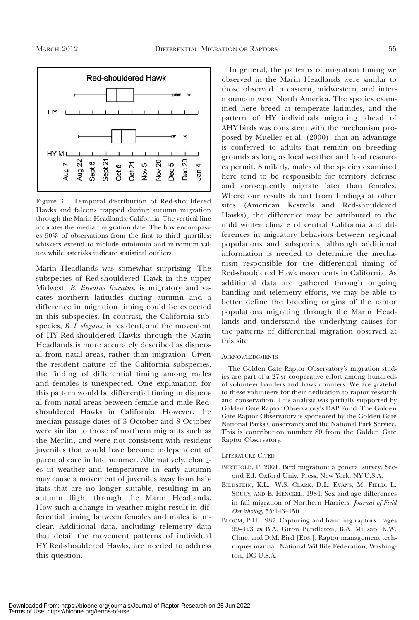

Figure 3. Temporal distribution of Red-shouldered Hawks and falcons trapped during autumn migration through the Marin Headlands, California. The vertical line indicates the median migration date. The box encompasses 50% of observations from the first to third quartiles; whiskers extend to include minimum and maximum values while asterisks indicate statistical outliers.

Marin Headlands was somewhat surprising. The subspecies of Red-shouldered Hawk in the upper Midwest, *B. lineatus lineatus*, is migratory and vacates northern latitudes during autumn and a difference in migration timing could be expected in this subspecies. In contrast, the California subspecies, *B. l. elegans*, is resident, and the movement of HY Red-shouldered Hawks through the Marin Headlands is more accurately described as dispersal from natal areas, rather than migration. Given the resident nature of the California subspecies, the finding of differential timing among males and females is unexpected. One explanation for this pattern would be differential timing in dispersal from natal areas between female and male Redshouldered Hawks in California. However, the median passage dates of 3 October and 8 October were similar to those of northern migrants such as the Merlin, and were not consistent with resident juveniles that would have become independent of parental care in late summer. Alternatively, changes in weather and temperature in early autumn may cause a movement of juveniles away from habitats that are no longer suitable, resulting in an autumn flight through the Marin Headlands. How such a change in weather might result in differential timing between females and males is unclear. Additional data, including telemetry data that detail the movement patterns of individual HY Red-shouldered Hawks, are needed to address this question.

In general, the patterns of migration timing we observed in the Marin Headlands were similar to those observed in eastern, midwestern, and intermountain west, North America. The species examined here breed at temperate latitudes, and the pattern of HY individuals migrating ahead of AHY birds was consistent with the mechanism proposed by Mueller et al. (2000), that an advantage is conferred to adults that remain on breeding grounds as long as local weather and food resources permit. Similarly, males of the species examined here tend to be responsible for territory defense and consequently migrate later than females. Where our results depart from findings at other sites (American Kestrels and Red-shouldered Hawks), the difference may be attributed to the mild winter climate of central California and differences in migratory behaviors between regional populations and subspecies, although additional information is needed to determine the mechanism responsible for the differential timing of Red-shouldered Hawk movements in California. As additional data are gathered through ongoing banding and telemetry efforts, we may be able to better define the breeding origins of the raptor populations migrating through the Marin Headlands and understand the underlying causes for the patterns of differential migration observed at this site.

#### ACKNOWLEDGMENTS

The Golden Gate Raptor Observatory's migration studies are part of a 27-yr cooperative effort among hundreds of volunteer banders and hawk counters. We are grateful to these volunteers for their dedication to raptor research and conservation. This analysis was partially supported by Golden Gate Raptor Observatory's DAP Fund. The Golden Gate Raptor Observatory is sponsored by the Golden Gate National Parks Conservancy and the National Park Service. This is contribution number 80 from the Golden Gate Raptor Observatory.

#### LITERATURE CITED

- BERTHOLD, P. 2001. Bird migration: a general survey, Second Ed. Oxford Univ. Press, New York, NY U.S.A.
- BILDSTEIN, K.L., W.S. CLARK, D.L. EVANS, M. FIELD, L. SOUCY, AND E. HENCKEL. 1984. Sex and age differences in fall migration of Northern Harriers. Journal of Field Ornithology 55:143–150.
- BLOOM, P.H. 1987. Capturing and handling raptors. Pages 99–123 in B.A. Giron Pendleton, B.A. Millsap, K.W. Cline, and D.M. Bird [EDS.], Raptor management techniques manual. National Wildlife Federation, Washington, DC U.S.A.